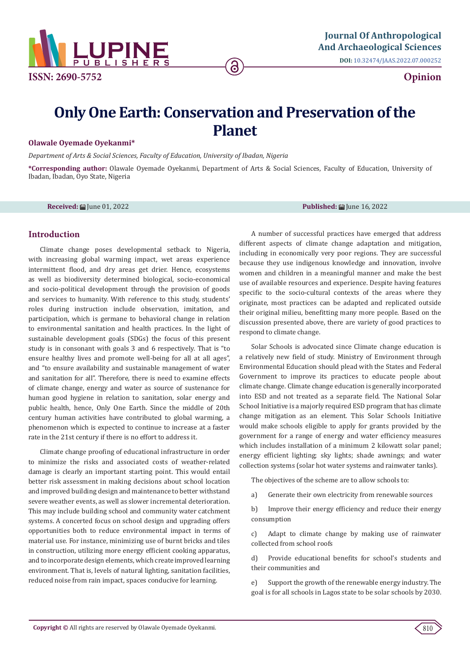

**DOI:** [10.32474/JAAS.2022.07.000252](http://dx.doi.org/10.32474/JAAS.2022.07.000252)

**Opinion**

# **Only One Earth: Conservation and Preservation of the Planet**

### **Olawale Oyemade Oyekanmi\***

*Department of Arts & Social Sciences, Faculty of Education, University of Ibadan, Nigeria*

**\*Corresponding author:** Olawale Oyemade Oyekanmi, Department of Arts & Social Sciences, Faculty of Education, University of Ibadan, Ibadan, Oyo State, Nigeria

**Received: 論 [une 01, 2022 Published: 論 [une 16, 2022 Published: 論 [une 16, 2022** 

## **Introduction**

Climate change poses developmental setback to Nigeria, with increasing global warming impact, wet areas experience intermittent flood, and dry areas get drier. Hence, ecosystems as well as biodiversity determined biological, socio-economical and socio-political development through the provision of goods and services to humanity. With reference to this study, students' roles during instruction include observation, imitation, and participation, which is germane to behavioral change in relation to environmental sanitation and health practices. In the light of sustainable development goals (SDGs) the focus of this present study is in consonant with goals 3 and 6 respectively. That is "to ensure healthy lives and promote well-being for all at all ages", and "to ensure availability and sustainable management of water and sanitation for all". Therefore, there is need to examine effects of climate change, energy and water as source of sustenance for human good hygiene in relation to sanitation, solar energy and public health, hence, Only One Earth. Since the middle of 20th century human activities have contributed to global warming, a phenomenon which is expected to continue to increase at a faster rate in the 21st century if there is no effort to address it.

Climate change proofing of educational infrastructure in order to minimize the risks and associated costs of weather-related damage is clearly an important starting point. This would entail better risk assessment in making decisions about school location and improved building design and maintenance to better withstand severe weather events, as well as slower incremental deterioration. This may include building school and community water catchment systems. A concerted focus on school design and upgrading offers opportunities both to reduce environmental impact in terms of material use. For instance, minimizing use of burnt bricks and tiles in construction, utilizing more energy efficient cooking apparatus, and to incorporate design elements, which create improved learning environment. That is, levels of natural lighting, sanitation facilities, reduced noise from rain impact, spaces conducive for learning.

A number of successful practices have emerged that address different aspects of climate change adaptation and mitigation, including in economically very poor regions. They are successful because they use indigenous knowledge and innovation, involve women and children in a meaningful manner and make the best use of available resources and experience. Despite having features specific to the socio-cultural contexts of the areas where they originate, most practices can be adapted and replicated outside their original milieu, benefitting many more people. Based on the discussion presented above, there are variety of good practices to respond to climate change.

Solar Schools is advocated since Climate change education is a relatively new field of study. Ministry of Environment through Environmental Education should plead with the States and Federal Government to improve its practices to educate people about climate change. Climate change education is generally incorporated into ESD and not treated as a separate field. The National Solar School Initiative is a majorly required ESD program that has climate change mitigation as an element. This Solar Schools Initiative would make schools eligible to apply for grants provided by the government for a range of energy and water efficiency measures which includes installation of a minimum 2 kilowatt solar panel; energy efficient lighting; sky lights; shade awnings; and water collection systems (solar hot water systems and rainwater tanks).

The objectives of the scheme are to allow schools to:

a) Generate their own electricity from renewable sources

b) Improve their energy efficiency and reduce their energy consumption

c) Adapt to climate change by making use of rainwater collected from school roofs

d) Provide educational benefits for school's students and their communities and

e) Support the growth of the renewable energy industry. The goal is for all schools in Lagos state to be solar schools by 2030.